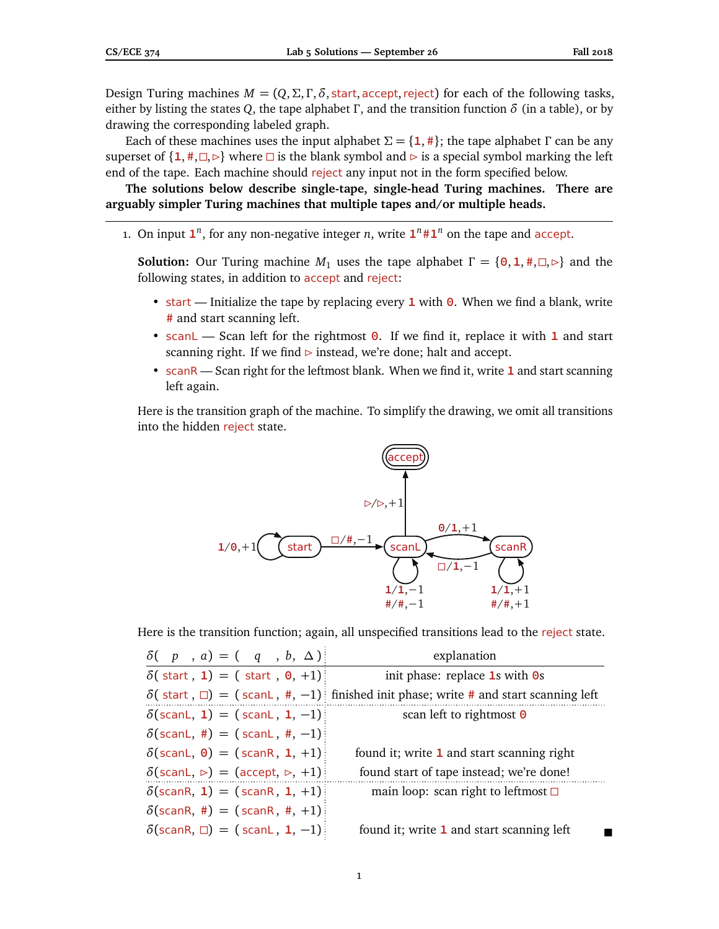Design Turing machines  $M = (Q, \Sigma, \Gamma, \delta, \text{start}, \text{accept}, \text{reject})$  for each of the following tasks, either by listing the states *Q*, the tape alphabet *Γ*, and the transition function *δ* (in a table), or by drawing the corresponding labeled graph.

Each of these machines uses the input alphabet  $\Sigma = \{1, \# \}$ ; the tape alphabet Γ can be any superset of  $\{1, \#$ ,  $\Box$ ,  $\triangleright\}$  where  $\Box$  is the blank symbol and  $\triangleright$  is a special symbol marking the left end of the tape. Each machine should reject any input not in the form specified below.

**The solutions below describe single-tape, single-head Turing machines. There are arguably simpler Turing machines that multiple tapes and/or multiple heads.**

1. On input  $\mathbf{1}^n$ , for any non-negative integer *n*, write  $\mathbf{1}^n \# \mathbf{1}^n$  on the tape and accept.

**Solution:** Our Turing machine  $M_1$  uses the tape alphabet  $\Gamma = \{\Theta, \Phi, \Phi, \Phi\}$  and the following states, in addition to accept and reject:

- start Initialize the tape by replacing every **1** with **0**. When we find a blank, write **#** and start scanning left.
- scanL Scan left for the rightmost **0**. If we find it, replace it with **1** and start scanning right. If we find  $\triangleright$  instead, we're done; halt and accept.
- scanR Scan right for the leftmost blank. When we find it, write **1** and start scanning left again.

Here is the transition graph of the machine. To simplify the drawing, we omit all transitions into the hidden reject state.



Here is the transition function; again, all unspecified transitions lead to the reject state.

| $\delta(-p, a) = (q, b, \Delta)$                                             | explanation                                                                                       |
|------------------------------------------------------------------------------|---------------------------------------------------------------------------------------------------|
| $\delta$ (start, 1) = (start, 0, +1)                                         | init phase: replace $1s$ with $0s$                                                                |
|                                                                              | $\delta$ (start, $\Box$ ) = (scanL, #, -1) if inished init phase; write # and start scanning left |
| $\delta(\text{scanL}, 1) = (\text{scanL}, 1, -1)$                            | scan left to rightmost $\Theta$                                                                   |
| $\delta$ (scanL, #) = (scanL, #, -1)                                         |                                                                                                   |
| $\delta(\text{scanL}, 0) = (\text{scanR}, 1, +1)$                            | found it; write 1 and start scanning right                                                        |
| $\delta(\text{scanL}, \triangleright) = (\text{accept}, \triangleright, +1)$ | found start of tape instead; we're done!                                                          |
| $\delta$ (scanR, 1) = (scanR, 1, +1)                                         | main loop: scan right to leftmost $\square$                                                       |
| $\delta$ (scanR, #) = (scanR, #, +1):                                        |                                                                                                   |
| $\delta$ (scanR, $\square$ ) = (scanL, 1, -1)                                | found it; write 1 and start scanning left                                                         |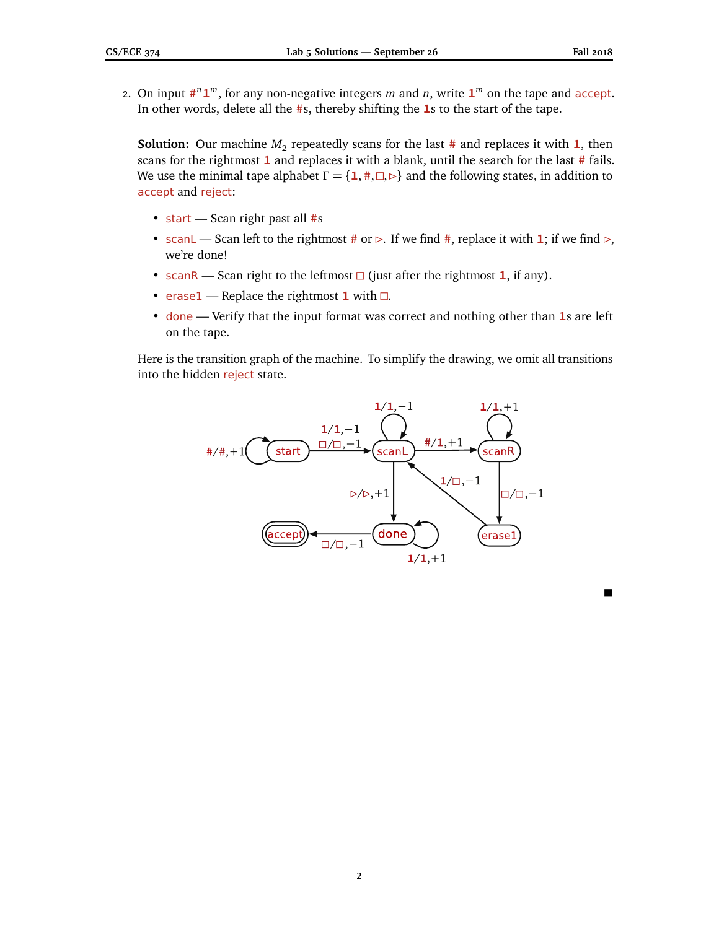$\blacksquare$ 

2. On input  $\sharp^{n} \mathbf{1}^{m}$ , for any non-negative integers *m* and *n*, write  $\mathbf{1}^{m}$  on the tape and accept. In other words, delete all the **#**s, thereby shifting the **1**s to the start of the tape.

**Solution:** Our machine  $M_2$  repeatedly scans for the last # and replaces it with **1**, then scans for the rightmost **1** and replaces it with a blank, until the search for the last **#** fails. We use the minimal tape alphabet  $\Gamma = \{1, \#,\Box,\triangleright\}$  and the following states, in addition to accept and reject:

- start Scan right past all **#**s
- scan L Scan left to the rightmost # or  $\triangleright$ . If we find #, replace it with **1**; if we find  $\triangleright$ , we're done!
- scanR Scan right to the leftmost  $\Box$  (just after the rightmost **1**, if any).
- erase1 Replace the rightmost  $1$  with  $\Box$ .
- done Verify that the input format was correct and nothing other than **1**s are left on the tape.

Here is the transition graph of the machine. To simplify the drawing, we omit all transitions into the hidden reject state.

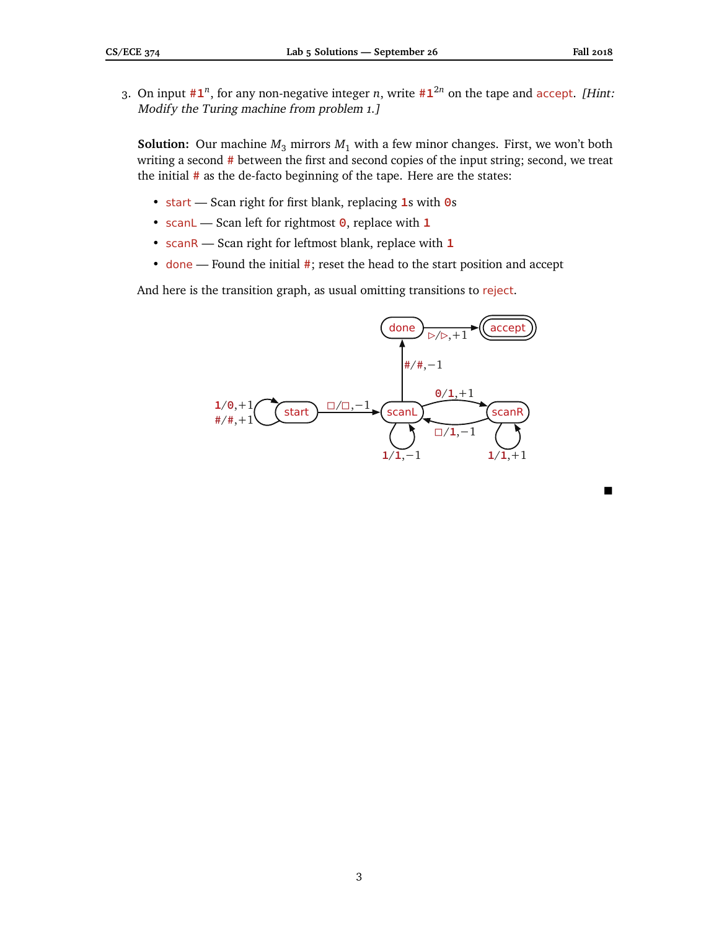3. On input **#1** *n* , for any non-negative integer *n*, write **#1** <sup>2</sup>*<sup>n</sup>* on the tape and accept. [Hint: Modify the Turing machine from problem 1.]

**Solution:** Our machine  $M_3$  mirrors  $M_1$  with a few minor changes. First, we won't both writing a second **#** between the first and second copies of the input string; second, we treat the initial **#** as the de-facto beginning of the tape. Here are the states:

- start Scan right for first blank, replacing **1**s with **0**s
- scanL Scan left for rightmost **0**, replace with **1**
- scanR Scan right for leftmost blank, replace with **1**
- done Found the initial **#**; reset the head to the start position and accept

And here is the transition graph, as usual omitting transitions to reject.